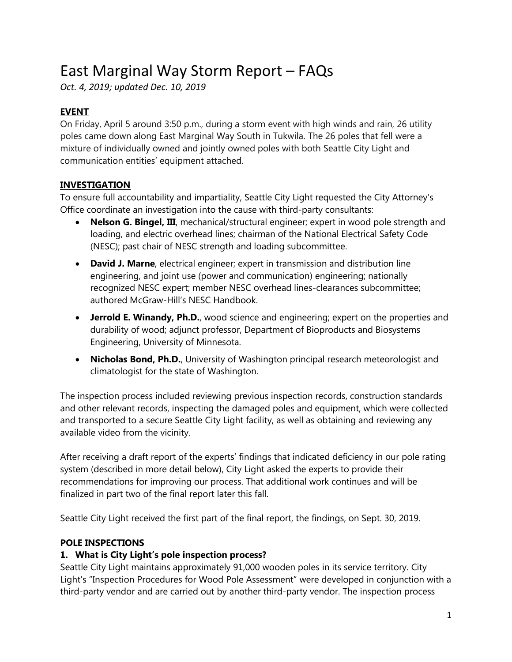# East Marginal Way Storm Report – FAQs

*Oct. 4, 2019; updated Dec. 10, 2019*

# **EVENT**

On Friday, April 5 around 3:50 p.m., during a storm event with high winds and rain, 26 utility poles came down along East Marginal Way South in Tukwila. The 26 poles that fell were a mixture of individually owned and jointly owned poles with both Seattle City Light and communication entities' equipment attached.

# **INVESTIGATION**

To ensure full accountability and impartiality, Seattle City Light requested the City Attorney's Office coordinate an investigation into the cause with third-party consultants:

- **Nelson G. Bingel, III**, mechanical/structural engineer; expert in wood pole strength and loading, and electric overhead lines; chairman of the National Electrical Safety Code (NESC); past chair of NESC strength and loading subcommittee.
- **David J. Marne**, electrical engineer; expert in transmission and distribution line engineering, and joint use (power and communication) engineering; nationally recognized NESC expert; member NESC overhead lines-clearances subcommittee; authored McGraw-Hill's NESC Handbook.
- **Jerrold E. Winandy, Ph.D.**, wood science and engineering; expert on the properties and durability of wood; adjunct professor, Department of Bioproducts and Biosystems Engineering, University of Minnesota.
- **Nicholas Bond, Ph.D.**, University of Washington principal research meteorologist and climatologist for the state of Washington.

The inspection process included reviewing previous inspection records, construction standards and other relevant records, inspecting the damaged poles and equipment, which were collected and transported to a secure Seattle City Light facility, as well as obtaining and reviewing any available video from the vicinity.

After receiving a draft report of the experts' findings that indicated deficiency in our pole rating system (described in more detail below), City Light asked the experts to provide their recommendations for improving our process. That additional work continues and will be finalized in part two of the final report later this fall.

Seattle City Light received the first part of the final report, the findings, on Sept. 30, 2019.

# **POLE INSPECTIONS**

# **1. What is City Light's pole inspection process?**

Seattle City Light maintains approximately 91,000 wooden poles in its service territory. City Light's "Inspection Procedures for Wood Pole Assessment" were developed in conjunction with a third-party vendor and are carried out by another third-party vendor. The inspection process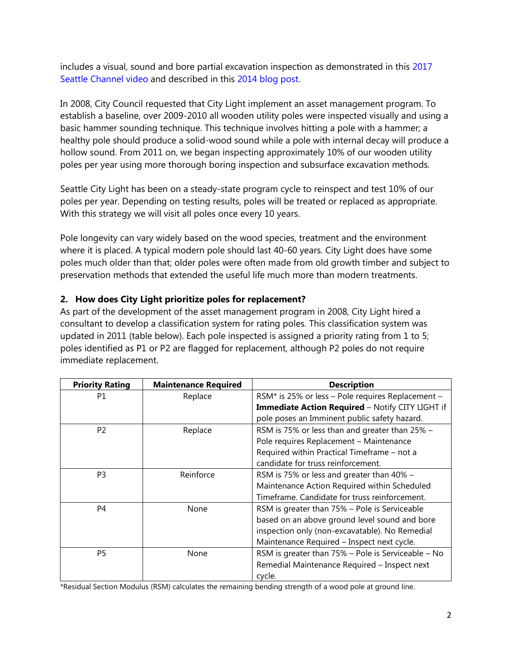includes a visual, sound and bore partial excavation inspection as demonstrated in this [2017](http://www.seattlechannel.org/CityStream/segments?videoid=x76344)  [Seattle Channel video](http://www.seattlechannel.org/CityStream/segments?videoid=x76344) and described in this [2014 blog post.](https://powerlines.seattle.gov/2014/09/15/testing-program-saves-money-extends-life-of-poles/)

In 2008, City Council requested that City Light implement an asset management program. To establish a baseline, over 2009-2010 all wooden utility poles were inspected visually and using a basic hammer sounding technique. This technique involves hitting a pole with a hammer; a healthy pole should produce a solid-wood sound while a pole with internal decay will produce a hollow sound. From 2011 on, we began inspecting approximately 10% of our wooden utility poles per year using more thorough boring inspection and subsurface excavation methods.

Seattle City Light has been on a steady-state program cycle to reinspect and test 10% of our poles per year. Depending on testing results, poles will be treated or replaced as appropriate. With this strategy we will visit all poles once every 10 years.

Pole longevity can vary widely based on the wood species, treatment and the environment where it is placed. A typical modern pole should last 40-60 years. City Light does have some poles much older than that; older poles were often made from old growth timber and subject to preservation methods that extended the useful life much more than modern treatments.

# **2. How does City Light prioritize poles for replacement?**

As part of the development of the asset management program in 2008, City Light hired a consultant to develop a classification system for rating poles. This classification system was updated in 2011 (table below). Each pole inspected is assigned a priority rating from 1 to 5; poles identified as P1 or P2 are flagged for replacement, although P2 poles do not require immediate replacement.

| <b>Priority Rating</b> | <b>Maintenance Required</b> | <b>Description</b>                                 |
|------------------------|-----------------------------|----------------------------------------------------|
| P1                     | Replace                     | RSM* is 25% or less - Pole requires Replacement -  |
|                        |                             | Immediate Action Required - Notify CITY LIGHT if   |
|                        |                             | pole poses an Imminent public safety hazard.       |
| P <sub>2</sub>         | Replace                     | RSM is 75% or less than and greater than 25% -     |
|                        |                             | Pole requires Replacement - Maintenance            |
|                        |                             | Required within Practical Timeframe - not a        |
|                        |                             | candidate for truss reinforcement.                 |
| P <sub>3</sub>         | Reinforce                   | RSM is 75% or less and greater than 40% -          |
|                        |                             | Maintenance Action Required within Scheduled       |
|                        |                             | Timeframe. Candidate for truss reinforcement.      |
| P <sub>4</sub>         | None                        | RSM is greater than 75% - Pole is Serviceable      |
|                        |                             | based on an above ground level sound and bore      |
|                        |                             | inspection only (non-excavatable). No Remedial     |
|                        |                             | Maintenance Required - Inspect next cycle.         |
| P <sub>5</sub>         | None                        | RSM is greater than 75% - Pole is Serviceable - No |
|                        |                             | Remedial Maintenance Required - Inspect next       |
|                        |                             | cycle.                                             |

\*Residual Section Modulus (RSM) calculates the remaining bending strength of a wood pole at ground line.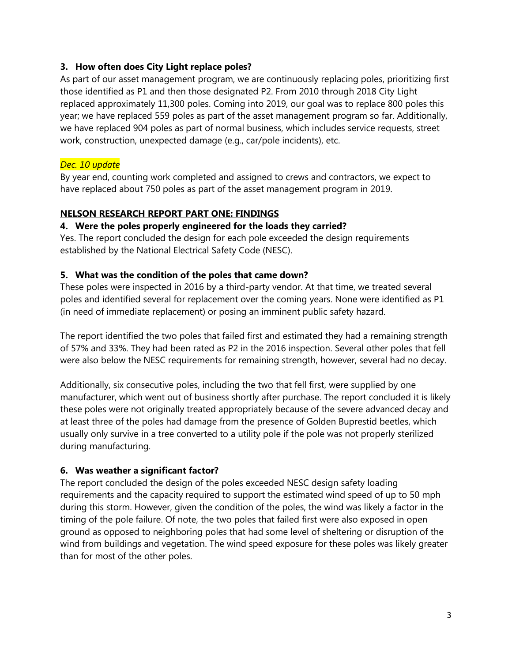## **3. How often does City Light replace poles?**

As part of our asset management program, we are continuously replacing poles, prioritizing first those identified as P1 and then those designated P2. From 2010 through 2018 City Light replaced approximately 11,300 poles. Coming into 2019, our goal was to replace 800 poles this year; we have replaced 559 poles as part of the asset management program so far. Additionally, we have replaced 904 poles as part of normal business, which includes service requests, street work, construction, unexpected damage (e.g., car/pole incidents), etc.

# *Dec. 10 update*

By year end, counting work completed and assigned to crews and contractors, we expect to have replaced about 750 poles as part of the asset management program in 2019.

# **NELSON RESEARCH REPORT PART ONE: FINDINGS**

## **4. Were the poles properly engineered for the loads they carried?**

Yes. The report concluded the design for each pole exceeded the design requirements established by the National Electrical Safety Code (NESC).

# **5. What was the condition of the poles that came down?**

These poles were inspected in 2016 by a third-party vendor. At that time, we treated several poles and identified several for replacement over the coming years. None were identified as P1 (in need of immediate replacement) or posing an imminent public safety hazard.

The report identified the two poles that failed first and estimated they had a remaining strength of 57% and 33%. They had been rated as P2 in the 2016 inspection. Several other poles that fell were also below the NESC requirements for remaining strength, however, several had no decay.

Additionally, six consecutive poles, including the two that fell first, were supplied by one manufacturer, which went out of business shortly after purchase. The report concluded it is likely these poles were not originally treated appropriately because of the severe advanced decay and at least three of the poles had damage from the presence of Golden Buprestid beetles, which usually only survive in a tree converted to a utility pole if the pole was not properly sterilized during manufacturing.

# **6. Was weather a significant factor?**

The report concluded the design of the poles exceeded NESC design safety loading requirements and the capacity required to support the estimated wind speed of up to 50 mph during this storm. However, given the condition of the poles, the wind was likely a factor in the timing of the pole failure. Of note, the two poles that failed first were also exposed in open ground as opposed to neighboring poles that had some level of sheltering or disruption of the wind from buildings and vegetation. The wind speed exposure for these poles was likely greater than for most of the other poles.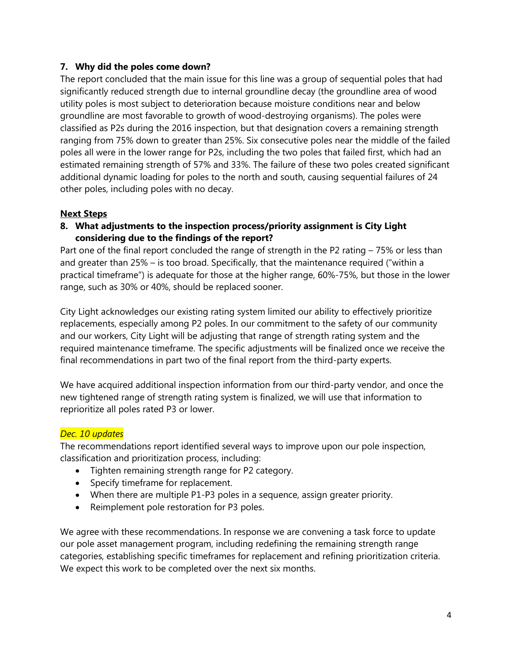## **7. Why did the poles come down?**

The report concluded that the main issue for this line was a group of sequential poles that had significantly reduced strength due to internal groundline decay (the groundline area of wood utility poles is most subject to deterioration because moisture conditions near and below groundline are most favorable to growth of wood-destroying organisms). The poles were classified as P2s during the 2016 inspection, but that designation covers a remaining strength ranging from 75% down to greater than 25%. Six consecutive poles near the middle of the failed poles all were in the lower range for P2s, including the two poles that failed first, which had an estimated remaining strength of 57% and 33%. The failure of these two poles created significant additional dynamic loading for poles to the north and south, causing sequential failures of 24 other poles, including poles with no decay.

# **Next Steps**

# **8. What adjustments to the inspection process/priority assignment is City Light considering due to the findings of the report?**

Part one of the final report concluded the range of strength in the P2 rating – 75% or less than and greater than 25% – is too broad. Specifically, that the maintenance required ("within a practical timeframe") is adequate for those at the higher range, 60%-75%, but those in the lower range, such as 30% or 40%, should be replaced sooner.

City Light acknowledges our existing rating system limited our ability to effectively prioritize replacements, especially among P2 poles. In our commitment to the safety of our community and our workers, City Light will be adjusting that range of strength rating system and the required maintenance timeframe. The specific adjustments will be finalized once we receive the final recommendations in part two of the final report from the third-party experts.

We have acquired additional inspection information from our third-party vendor, and once the new tightened range of strength rating system is finalized, we will use that information to reprioritize all poles rated P3 or lower.

# *Dec. 10 updates*

The recommendations report identified several ways to improve upon our pole inspection, classification and prioritization process, including:

- Tighten remaining strength range for P2 category.
- Specify timeframe for replacement.
- When there are multiple P1-P3 poles in a sequence, assign greater priority.
- Reimplement pole restoration for P3 poles.

We agree with these recommendations. In response we are convening a task force to update our pole asset management program, including redefining the remaining strength range categories, establishing specific timeframes for replacement and refining prioritization criteria. We expect this work to be completed over the next six months.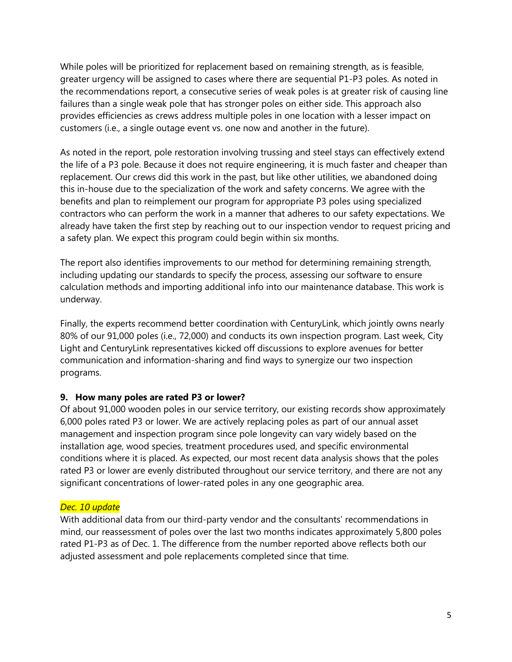While poles will be prioritized for replacement based on remaining strength, as is feasible, greater urgency will be assigned to cases where there are sequential P1-P3 poles. As noted in the recommendations report, a consecutive series of weak poles is at greater risk of causing line failures than a single weak pole that has stronger poles on either side. This approach also provides efficiencies as crews address multiple poles in one location with a lesser impact on customers (i.e., a single outage event vs. one now and another in the future).

As noted in the report, pole restoration involving trussing and steel stays can effectively extend the life of a P3 pole. Because it does not require engineering, it is much faster and cheaper than replacement. Our crews did this work in the past, but like other utilities, we abandoned doing this in-house due to the specialization of the work and safety concerns. We agree with the benefits and plan to reimplement our program for appropriate P3 poles using specialized contractors who can perform the work in a manner that adheres to our safety expectations. We already have taken the first step by reaching out to our inspection vendor to request pricing and a safety plan. We expect this program could begin within six months.

The report also identifies improvements to our method for determining remaining strength, including updating our standards to specify the process, assessing our software to ensure calculation methods and importing additional info into our maintenance database. This work is underway.

Finally, the experts recommend better coordination with CenturyLink, which jointly owns nearly 80% of our 91,000 poles (i.e., 72,000) and conducts its own inspection program. Last week, City Light and CenturyLink representatives kicked off discussions to explore avenues for better communication and information-sharing and find ways to synergize our two inspection programs.

## **9. How many poles are rated P3 or lower?**

Of about 91,000 wooden poles in our service territory, our existing records show approximately 6,000 poles rated P3 or lower. We are actively replacing poles as part of our annual asset management and inspection program since pole longevity can vary widely based on the installation age, wood species, treatment procedures used, and specific environmental conditions where it is placed. As expected, our most recent data analysis shows that the poles rated P3 or lower are evenly distributed throughout our service territory, and there are not any significant concentrations of lower-rated poles in any one geographic area.

#### *Dec. 10 update*

With additional data from our third-party vendor and the consultants' recommendations in mind, our reassessment of poles over the last two months indicates approximately 5,800 poles rated P1-P3 as of Dec. 1. The difference from the number reported above reflects both our adjusted assessment and pole replacements completed since that time.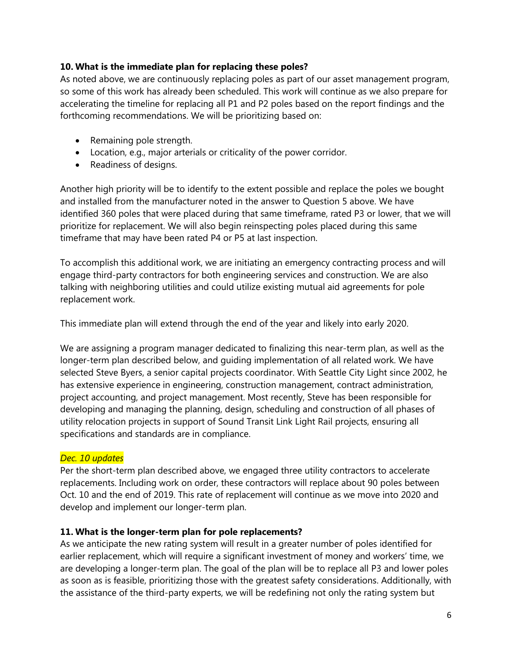## **10. What is the immediate plan for replacing these poles?**

As noted above, we are continuously replacing poles as part of our asset management program, so some of this work has already been scheduled. This work will continue as we also prepare for accelerating the timeline for replacing all P1 and P2 poles based on the report findings and the forthcoming recommendations. We will be prioritizing based on:

- Remaining pole strength.
- Location, e.g., major arterials or criticality of the power corridor.
- Readiness of designs.

Another high priority will be to identify to the extent possible and replace the poles we bought and installed from the manufacturer noted in the answer to Question 5 above. We have identified 360 poles that were placed during that same timeframe, rated P3 or lower, that we will prioritize for replacement. We will also begin reinspecting poles placed during this same timeframe that may have been rated P4 or P5 at last inspection.

To accomplish this additional work, we are initiating an emergency contracting process and will engage third-party contractors for both engineering services and construction. We are also talking with neighboring utilities and could utilize existing mutual aid agreements for pole replacement work.

This immediate plan will extend through the end of the year and likely into early 2020.

We are assigning a program manager dedicated to finalizing this near-term plan, as well as the longer-term plan described below, and guiding implementation of all related work. We have selected Steve Byers, a senior capital projects coordinator. With Seattle City Light since 2002, he has extensive experience in engineering, construction management, contract administration, project accounting, and project management. Most recently, Steve has been responsible for developing and managing the planning, design, scheduling and construction of all phases of utility relocation projects in support of Sound Transit Link Light Rail projects, ensuring all specifications and standards are in compliance.

#### *Dec. 10 updates*

Per the short-term plan described above, we engaged three utility contractors to accelerate replacements. Including work on order, these contractors will replace about 90 poles between Oct. 10 and the end of 2019. This rate of replacement will continue as we move into 2020 and develop and implement our longer-term plan.

#### **11. What is the longer-term plan for pole replacements?**

As we anticipate the new rating system will result in a greater number of poles identified for earlier replacement, which will require a significant investment of money and workers' time, we are developing a longer-term plan. The goal of the plan will be to replace all P3 and lower poles as soon as is feasible, prioritizing those with the greatest safety considerations. Additionally, with the assistance of the third-party experts, we will be redefining not only the rating system but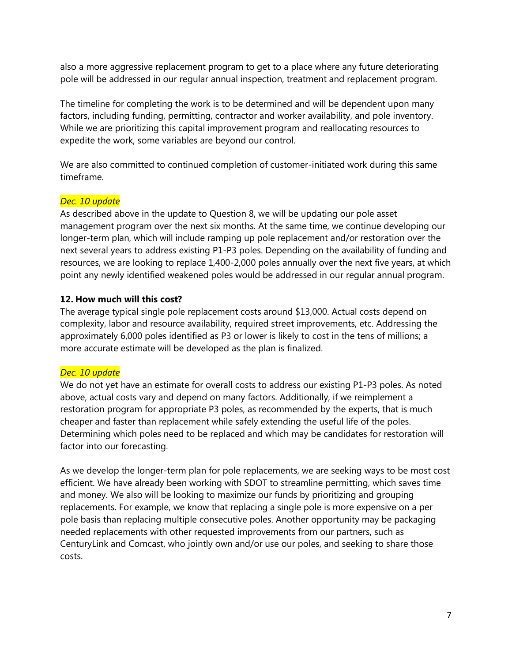also a more aggressive replacement program to get to a place where any future deteriorating pole will be addressed in our regular annual inspection, treatment and replacement program.

The timeline for completing the work is to be determined and will be dependent upon many factors, including funding, permitting, contractor and worker availability, and pole inventory. While we are prioritizing this capital improvement program and reallocating resources to expedite the work, some variables are beyond our control.

We are also committed to continued completion of customer-initiated work during this same timeframe.

# *Dec. 10 update*

As described above in the update to Question 8, we will be updating our pole asset management program over the next six months. At the same time, we continue developing our longer-term plan, which will include ramping up pole replacement and/or restoration over the next several years to address existing P1-P3 poles. Depending on the availability of funding and resources, we are looking to replace 1,400-2,000 poles annually over the next five years, at which point any newly identified weakened poles would be addressed in our regular annual program.

# **12. How much will this cost?**

The average typical single pole replacement costs around \$13,000. Actual costs depend on complexity, labor and resource availability, required street improvements, etc. Addressing the approximately 6,000 poles identified as P3 or lower is likely to cost in the tens of millions; a more accurate estimate will be developed as the plan is finalized.

## *Dec. 10 update*

We do not yet have an estimate for overall costs to address our existing P1-P3 poles. As noted above, actual costs vary and depend on many factors. Additionally, if we reimplement a restoration program for appropriate P3 poles, as recommended by the experts, that is much cheaper and faster than replacement while safely extending the useful life of the poles. Determining which poles need to be replaced and which may be candidates for restoration will factor into our forecasting.

As we develop the longer-term plan for pole replacements, we are seeking ways to be most cost efficient. We have already been working with SDOT to streamline permitting, which saves time and money. We also will be looking to maximize our funds by prioritizing and grouping replacements. For example, we know that replacing a single pole is more expensive on a per pole basis than replacing multiple consecutive poles. Another opportunity may be packaging needed replacements with other requested improvements from our partners, such as CenturyLink and Comcast, who jointly own and/or use our poles, and seeking to share those costs.